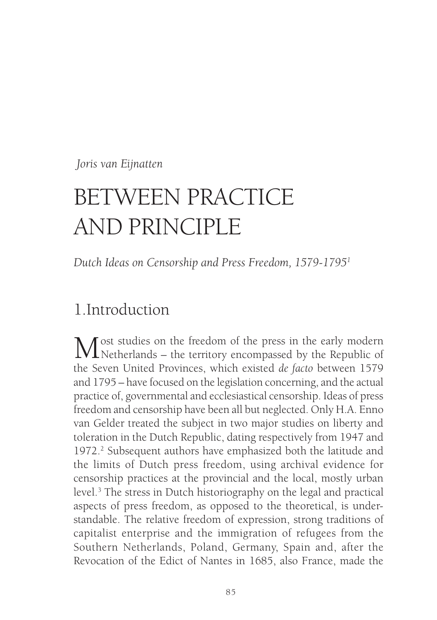*Joris van Eijnatten*

# BETWEEN PRACTICE AND PRINCIPLE

*Dutch Ideas on Censorship and Press Freedom, 1579-17951*

## 1.Introduction

Most studies on the freedom of the press in the early modern<br>Netherlands – the territory encompassed by the Republic of the Seven United Provinces, which existed *de facto* between 1579 and 1795 – have focused on the legislation concerning, and the actual practice of, governmental and ecclesiastical censorship. Ideas of press freedom and censorship have been all but neglected. Only H.A. Enno van Gelder treated the subject in two major studies on liberty and toleration in the Dutch Republic, dating respectively from 1947 and 1972.<sup>2</sup> Subsequent authors have emphasized both the latitude and the limits of Dutch press freedom, using archival evidence for censorship practices at the provincial and the local, mostly urban level.3 The stress in Dutch historiography on the legal and practical aspects of press freedom, as opposed to the theoretical, is understandable. The relative freedom of expression, strong traditions of capitalist enterprise and the immigration of refugees from the Southern Netherlands, Poland, Germany, Spain and, after the Revocation of the Edict of Nantes in 1685, also France, made the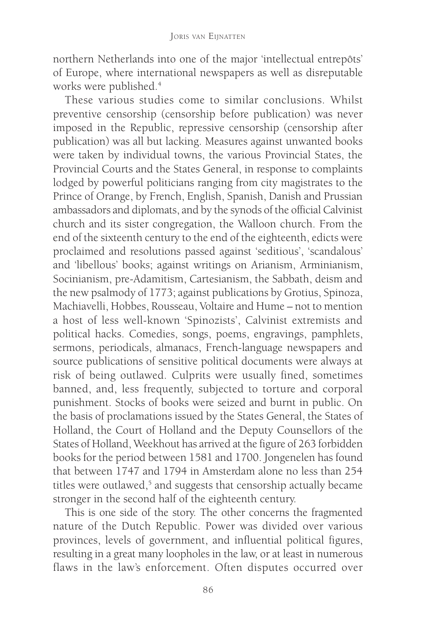northern Netherlands into one of the major 'intellectual entrepôts' of Europe, where international newspapers as well as disreputable works were published.4

These various studies come to similar conclusions. Whilst preventive censorship (censorship before publication) was never imposed in the Republic, repressive censorship (censorship after publication) was all but lacking. Measures against unwanted books were taken by individual towns, the various Provincial States, the Provincial Courts and the States General, in response to complaints lodged by powerful politicians ranging from city magistrates to the Prince of Orange, by French, English, Spanish, Danish and Prussian ambassadors and diplomats, and by the synods of the official Calvinist church and its sister congregation, the Walloon church. From the end of the sixteenth century to the end of the eighteenth, edicts were proclaimed and resolutions passed against 'seditious', 'scandalous' and 'libellous' books; against writings on Arianism, Arminianism, Socinianism, pre-Adamitism, Cartesianism, the Sabbath, deism and the new psalmody of 1773; against publications by Grotius, Spinoza, Machiavelli, Hobbes, Rousseau, Voltaire and Hume – not to mention a host of less well-known 'Spinozists', Calvinist extremists and political hacks. Comedies, songs, poems, engravings, pamphlets, sermons, periodicals, almanacs, French-language newspapers and source publications of sensitive political documents were always at risk of being outlawed. Culprits were usually fined, sometimes banned, and, less frequently, subjected to torture and corporal punishment. Stocks of books were seized and burnt in public. On the basis of proclamations issued by the States General, the States of Holland, the Court of Holland and the Deputy Counsellors of the States of Holland, Weekhout has arrived at the figure of 263 forbidden books for the period between 1581 and 1700. Jongenelen has found that between 1747 and 1794 in Amsterdam alone no less than 254 titles were outlawed, $^5$  and suggests that censorship actually became stronger in the second half of the eighteenth century.

This is one side of the story. The other concerns the fragmented nature of the Dutch Republic. Power was divided over various provinces, levels of government, and influential political figures, resulting in a great many loopholes in the law, or at least in numerous flaws in the law's enforcement. Often disputes occurred over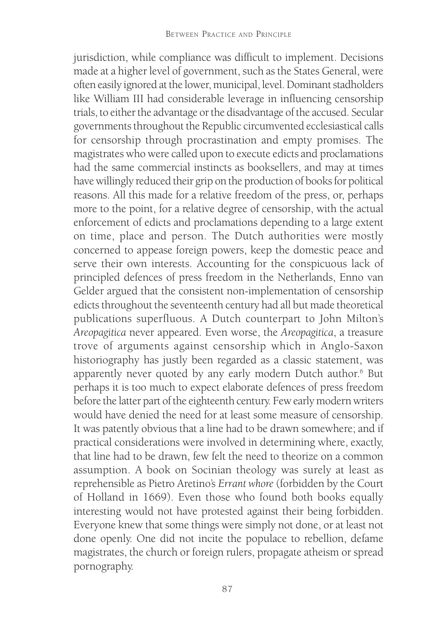jurisdiction, while compliance was difficult to implement. Decisions made at a higher level of government, such as the States General, were often easily ignored at the lower, municipal, level. Dominant stadholders like William III had considerable leverage in influencing censorship trials, to either the advantage or the disadvantage of the accused. Secular governments throughout the Republic circumvented ecclesiastical calls for censorship through procrastination and empty promises. The magistrates who were called upon to execute edicts and proclamations had the same commercial instincts as booksellers, and may at times have willingly reduced their grip on the production of books for political reasons. All this made for a relative freedom of the press, or, perhaps more to the point, for a relative degree of censorship, with the actual enforcement of edicts and proclamations depending to a large extent on time, place and person. The Dutch authorities were mostly concerned to appease foreign powers, keep the domestic peace and serve their own interests. Accounting for the conspicuous lack of principled defences of press freedom in the Netherlands, Enno van Gelder argued that the consistent non-implementation of censorship edicts throughout the seventeenth century had all but made theoretical publications superfluous. A Dutch counterpart to John Milton's *Areopagitica* never appeared. Even worse, the *Areopagitica*, a treasure trove of arguments against censorship which in Anglo-Saxon historiography has justly been regarded as a classic statement, was apparently never quoted by any early modern Dutch author.<sup>6</sup> But perhaps it is too much to expect elaborate defences of press freedom before the latter part of the eighteenth century. Few early modern writers would have denied the need for at least some measure of censorship. It was patently obvious that a line had to be drawn somewhere; and if practical considerations were involved in determining where, exactly, that line had to be drawn, few felt the need to theorize on a common assumption. A book on Socinian theology was surely at least as reprehensible as Pietro Aretino's *Errant whore* (forbidden by the Court of Holland in 1669). Even those who found both books equally interesting would not have protested against their being forbidden. Everyone knew that some things were simply not done, or at least not done openly. One did not incite the populace to rebellion, defame magistrates, the church or foreign rulers, propagate atheism or spread pornography.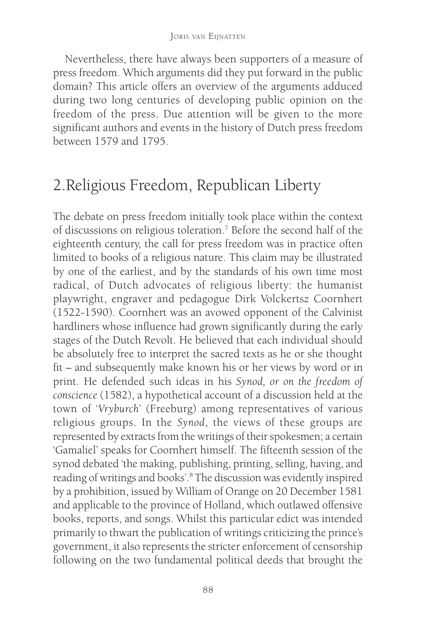Nevertheless, there have always been supporters of a measure of press freedom. Which arguments did they put forward in the public domain? This article offers an overview of the arguments adduced during two long centuries of developing public opinion on the freedom of the press. Due attention will be given to the more significant authors and events in the history of Dutch press freedom between 1579 and 1795.

#### 2.Religious Freedom, Republican Liberty

The debate on press freedom initially took place within the context of discussions on religious toleration.7 Before the second half of the eighteenth century, the call for press freedom was in practice often limited to books of a religious nature. This claim may be illustrated by one of the earliest, and by the standards of his own time most radical, of Dutch advocates of religious liberty: the humanist playwright, engraver and pedagogue Dirk Volckertsz Coornhert (1522-1590). Coornhert was an avowed opponent of the Calvinist hardliners whose influence had grown significantly during the early stages of the Dutch Revolt. He believed that each individual should be absolutely free to interpret the sacred texts as he or she thought fit – and subsequently make known his or her views by word or in print. He defended such ideas in his *Synod, or on the freedom of conscience* (1582), a hypothetical account of a discussion held at the town of '*Vryburch*' (Freeburg) among representatives of various religious groups. In the *Synod*, the views of these groups are represented by extracts from the writings of their spokesmen; a certain 'Gamaliel' speaks for Coornhert himself. The fifteenth session of the synod debated 'the making, publishing, printing, selling, having, and reading of writings and books'.8 The discussion was evidently inspired by a prohibition, issued by William of Orange on 20 December 1581 and applicable to the province of Holland, which outlawed offensive books, reports, and songs. Whilst this particular edict was intended primarily to thwart the publication of writings criticizing the prince's government, it also represents the stricter enforcement of censorship following on the two fundamental political deeds that brought the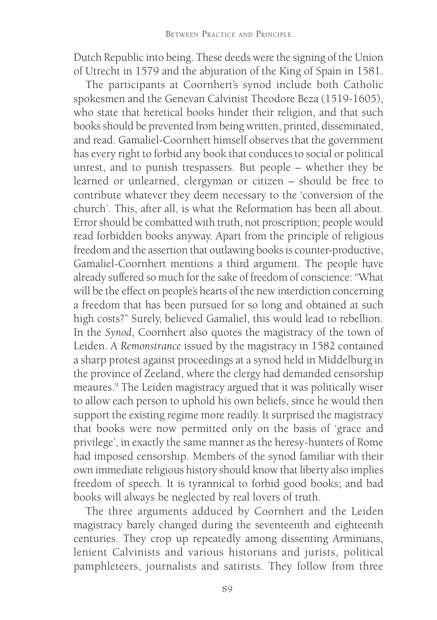Dutch Republic into being. These deeds were the signing of the Union of Utrecht in 1579 and the abjuration of the King of Spain in 1581.

The participants at Coornhert's synod include both Catholic spokesmen and the Genevan Calvinist Theodore Beza (1519-1605), who state that heretical books hinder their religion, and that such books should be prevented from being written, printed, disseminated, and read. Gamaliel-Coornhert himself observes that the government has every right to forbid any book that conduces to social or political unrest, and to punish trespassers. But people – whether they be learned or unlearned, clergyman or citizen – should be free to contribute whatever they deem necessary to the 'conversion of the church'. This, after all, is what the Reformation has been all about. Error should be combatted with truth, not proscription; people would read forbidden books anyway. Apart from the principle of religious freedom and the assertion that outlawing books is counter-productive, Gamaliel-Coornhert mentions a third argument. The people have already suffered so much for the sake of freedom of conscience: "What will be the effect on people's hearts of the new interdiction concerning a freedom that has been pursued for so long and obtained at such high costs?" Surely, believed Gamaliel, this would lead to rebellion. In the *Synod*, Coornhert also quotes the magistracy of the town of Leiden. A *Remonstrance* issued by the magistracy in 1582 contained a sharp protest against proceedings at a synod held in Middelburg in the province of Zeeland, where the clergy had demanded censorship meaures.9 The Leiden magistracy argued that it was politically wiser to allow each person to uphold his own beliefs, since he would then support the existing regime more readily. It surprised the magistracy that books were now permitted only on the basis of 'grace and privilege', in exactly the same manner as the heresy-hunters of Rome had imposed censorship. Members of the synod familiar with their own immediate religious history should know that liberty also implies freedom of speech. It is tyrannical to forbid good books; and bad books will always be neglected by real lovers of truth.

The three arguments adduced by Coornhert and the Leiden magistracy barely changed during the seventeenth and eighteenth centuries. They crop up repeatedly among dissenting Arminians, lenient Calvinists and various historians and jurists, political pamphleteers, journalists and satirists. They follow from three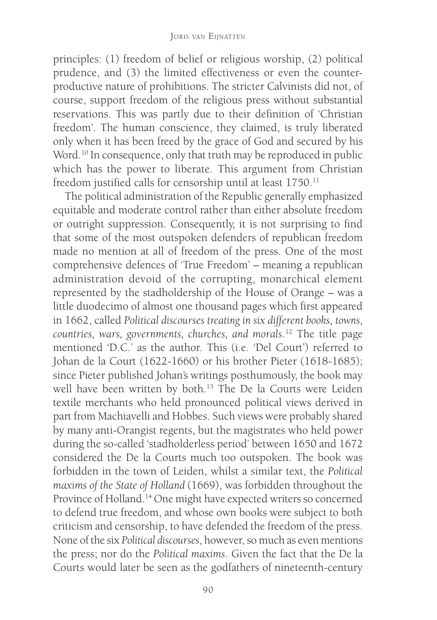principles: (1) freedom of belief or religious worship, (2) political prudence, and (3) the limited effectiveness or even the counterproductive nature of prohibitions. The stricter Calvinists did not, of course, support freedom of the religious press without substantial reservations. This was partly due to their definition of 'Christian freedom'. The human conscience, they claimed, is truly liberated only when it has been freed by the grace of God and secured by his Word.<sup>10</sup> In consequence, only that truth may be reproduced in public which has the power to liberate. This argument from Christian freedom justified calls for censorship until at least 1750.<sup>11</sup>

The political administration of the Republic generally emphasized equitable and moderate control rather than either absolute freedom or outright suppression. Consequently, it is not surprising to find that some of the most outspoken defenders of republican freedom made no mention at all of freedom of the press. One of the most comprehensive defences of 'True Freedom' – meaning a republican administration devoid of the corrupting, monarchical element represented by the stadholdership of the House of Orange – was a little duodecimo of almost one thousand pages which first appeared in 1662, called *Political discourses treating in six different books, towns, countries, wars, governments, churches, and morals*. 12 The title page mentioned 'D.C.' as the author. This (i.e. 'Del Court') referred to Johan de la Court (1622-1660) or his brother Pieter (1618-1685); since Pieter published Johan's writings posthumously, the book may well have been written by both.<sup>13</sup> The De la Courts were Leiden textile merchants who held pronounced political views derived in part from Machiavelli and Hobbes. Such views were probably shared by many anti-Orangist regents, but the magistrates who held power during the so-called 'stadholderless period' between 1650 and 1672 considered the De la Courts much too outspoken. The book was forbidden in the town of Leiden, whilst a similar text, the *Political maxims of the State of Holland* (1669), was forbidden throughout the Province of Holland.14 One might have expected writers so concerned to defend true freedom, and whose own books were subject to both criticism and censorship, to have defended the freedom of the press. None of the six *Political discourses*, however, so much as even mentions the press; nor do the *Political maxims*. Given the fact that the De la Courts would later be seen as the godfathers of nineteenth-century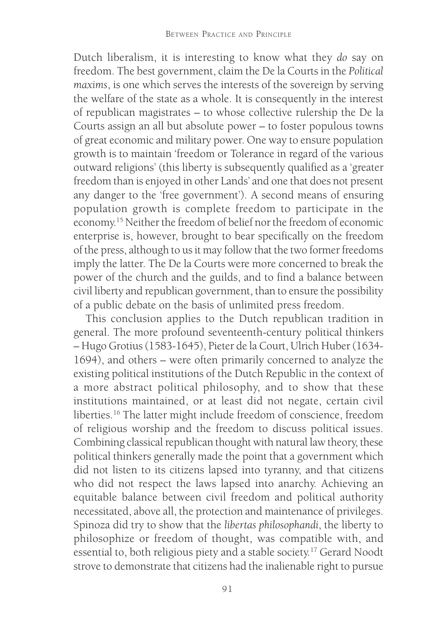Dutch liberalism, it is interesting to know what they *do* say on freedom. The best government, claim the De la Courts in the *Political maxims*, is one which serves the interests of the sovereign by serving the welfare of the state as a whole. It is consequently in the interest of republican magistrates – to whose collective rulership the De la Courts assign an all but absolute power – to foster populous towns of great economic and military power. One way to ensure population growth is to maintain 'freedom or Tolerance in regard of the various outward religions' (this liberty is subsequently qualified as a 'greater freedom than is enjoyed in other Lands' and one that does not present any danger to the 'free government'). A second means of ensuring population growth is complete freedom to participate in the economy.15 Neither the freedom of belief nor the freedom of economic enterprise is, however, brought to bear specifically on the freedom of the press, although to us it may follow that the two former freedoms imply the latter. The De la Courts were more concerned to break the power of the church and the guilds, and to find a balance between civil liberty and republican government, than to ensure the possibility of a public debate on the basis of unlimited press freedom.

This conclusion applies to the Dutch republican tradition in general. The more profound seventeenth-century political thinkers – Hugo Grotius (1583-1645), Pieter de la Court, Ulrich Huber (1634- 1694), and others – were often primarily concerned to analyze the existing political institutions of the Dutch Republic in the context of a more abstract political philosophy, and to show that these institutions maintained, or at least did not negate, certain civil liberties.16 The latter might include freedom of conscience, freedom of religious worship and the freedom to discuss political issues. Combining classical republican thought with natural law theory, these political thinkers generally made the point that a government which did not listen to its citizens lapsed into tyranny, and that citizens who did not respect the laws lapsed into anarchy. Achieving an equitable balance between civil freedom and political authority necessitated, above all, the protection and maintenance of privileges. Spinoza did try to show that the *libertas philosophandi*, the liberty to philosophize or freedom of thought, was compatible with, and essential to, both religious piety and a stable society.17 Gerard Noodt strove to demonstrate that citizens had the inalienable right to pursue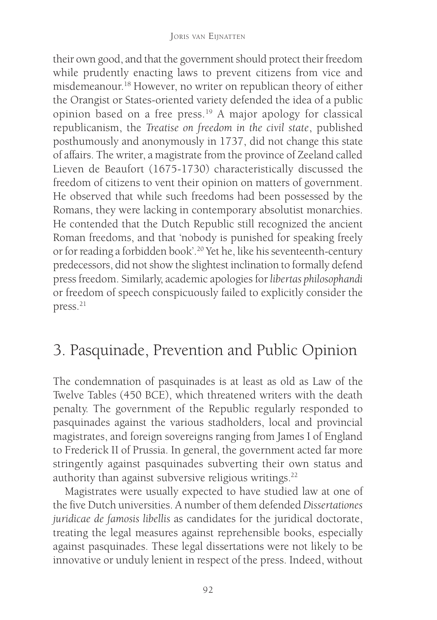their own good, and that the government should protect their freedom while prudently enacting laws to prevent citizens from vice and misdemeanour.18 However, no writer on republican theory of either the Orangist or States-oriented variety defended the idea of a public opinion based on a free press.19 A major apology for classical republicanism, the *Treatise on freedom in the civil state*, published posthumously and anonymously in 1737, did not change this state of affairs. The writer, a magistrate from the province of Zeeland called Lieven de Beaufort (1675-1730) characteristically discussed the freedom of citizens to vent their opinion on matters of government. He observed that while such freedoms had been possessed by the Romans, they were lacking in contemporary absolutist monarchies. He contended that the Dutch Republic still recognized the ancient Roman freedoms, and that 'nobody is punished for speaking freely or for reading a forbidden book'.20 Yet he, like his seventeenth-century predecessors, did not show the slightest inclination to formally defend press freedom. Similarly, academic apologies for *libertas philosophandi* or freedom of speech conspicuously failed to explicitly consider the press.21

## 3. Pasquinade, Prevention and Public Opinion

The condemnation of pasquinades is at least as old as Law of the Twelve Tables (450 BCE), which threatened writers with the death penalty. The government of the Republic regularly responded to pasquinades against the various stadholders, local and provincial magistrates, and foreign sovereigns ranging from James I of England to Frederick II of Prussia. In general, the government acted far more stringently against pasquinades subverting their own status and authority than against subversive religious writings.<sup>22</sup>

Magistrates were usually expected to have studied law at one of the five Dutch universities. A number of them defended *Dissertationes juridicae de famosis libellis* as candidates for the juridical doctorate, treating the legal measures against reprehensible books, especially against pasquinades. These legal dissertations were not likely to be innovative or unduly lenient in respect of the press. Indeed, without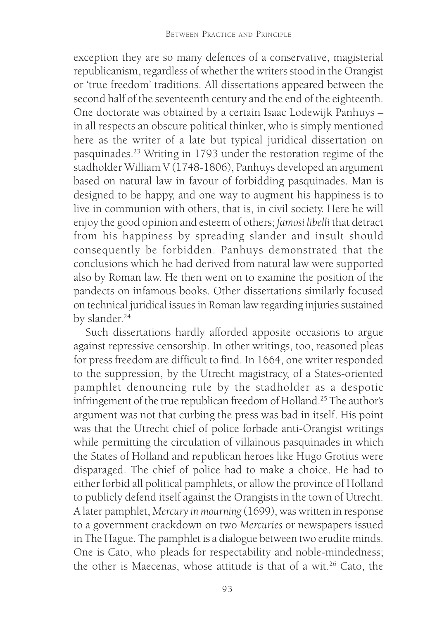exception they are so many defences of a conservative, magisterial republicanism, regardless of whether the writers stood in the Orangist or 'true freedom' traditions. All dissertations appeared between the second half of the seventeenth century and the end of the eighteenth. One doctorate was obtained by a certain Isaac Lodewijk Panhuys – in all respects an obscure political thinker, who is simply mentioned here as the writer of a late but typical juridical dissertation on pasquinades.23 Writing in 1793 under the restoration regime of the stadholder William V (1748-1806), Panhuys developed an argument based on natural law in favour of forbidding pasquinades. Man is designed to be happy, and one way to augment his happiness is to live in communion with others, that is, in civil society. Here he will enjoy the good opinion and esteem of others; *famosi libelli* that detract from his happiness by spreading slander and insult should consequently be forbidden. Panhuys demonstrated that the conclusions which he had derived from natural law were supported also by Roman law. He then went on to examine the position of the pandects on infamous books. Other dissertations similarly focused on technical juridical issues in Roman law regarding injuries sustained by slander.<sup>24</sup>

Such dissertations hardly afforded apposite occasions to argue against repressive censorship. In other writings, too, reasoned pleas for press freedom are difficult to find. In 1664, one writer responded to the suppression, by the Utrecht magistracy, of a States-oriented pamphlet denouncing rule by the stadholder as a despotic infringement of the true republican freedom of Holland.25 The author's argument was not that curbing the press was bad in itself. His point was that the Utrecht chief of police forbade anti-Orangist writings while permitting the circulation of villainous pasquinades in which the States of Holland and republican heroes like Hugo Grotius were disparaged. The chief of police had to make a choice. He had to either forbid all political pamphlets, or allow the province of Holland to publicly defend itself against the Orangists in the town of Utrecht. A later pamphlet, *Mercury in mourning* (1699), was written in response to a government crackdown on two *Mercuries* or newspapers issued in The Hague. The pamphlet is a dialogue between two erudite minds. One is Cato, who pleads for respectability and noble-mindedness; the other is Maecenas, whose attitude is that of a wit.<sup>26</sup> Cato, the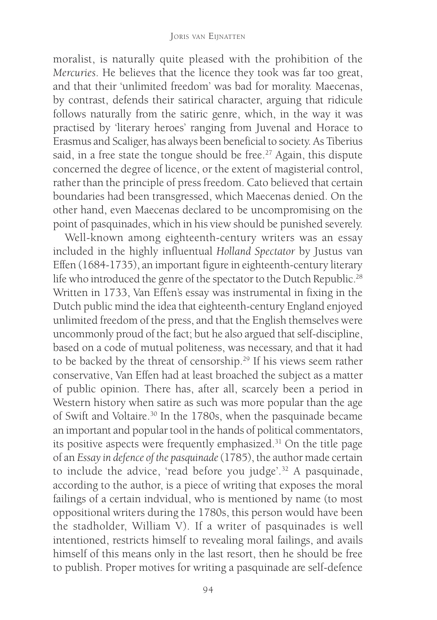moralist, is naturally quite pleased with the prohibition of the *Mercuries*. He believes that the licence they took was far too great, and that their 'unlimited freedom' was bad for morality. Maecenas, by contrast, defends their satirical character, arguing that ridicule follows naturally from the satiric genre, which, in the way it was practised by 'literary heroes' ranging from Juvenal and Horace to Erasmus and Scaliger, has always been beneficial to society. As Tiberius said, in a free state the tongue should be free.<sup>27</sup> Again, this dispute concerned the degree of licence, or the extent of magisterial control, rather than the principle of press freedom. Cato believed that certain boundaries had been transgressed, which Maecenas denied. On the other hand, even Maecenas declared to be uncompromising on the point of pasquinades, which in his view should be punished severely.

Well-known among eighteenth-century writers was an essay included in the highly influentual *Holland Spectator* by Justus van Effen (1684-1735), an important figure in eighteenth-century literary life who introduced the genre of the spectator to the Dutch Republic.<sup>28</sup> Written in 1733, Van Effen's essay was instrumental in fixing in the Dutch public mind the idea that eighteenth-century England enjoyed unlimited freedom of the press, and that the English themselves were uncommonly proud of the fact; but he also argued that self-discipline, based on a code of mutual politeness, was necessary, and that it had to be backed by the threat of censorship.29 If his views seem rather conservative, Van Effen had at least broached the subject as a matter of public opinion. There has, after all, scarcely been a period in Western history when satire as such was more popular than the age of Swift and Voltaire.30 In the 1780s, when the pasquinade became an important and popular tool in the hands of political commentators, its positive aspects were frequently emphasized.31 On the title page of an *Essay in defence of the pasquinade* (1785), the author made certain to include the advice, 'read before you judge'.32 A pasquinade, according to the author, is a piece of writing that exposes the moral failings of a certain indvidual, who is mentioned by name (to most oppositional writers during the 1780s, this person would have been the stadholder, William V). If a writer of pasquinades is well intentioned, restricts himself to revealing moral failings, and avails himself of this means only in the last resort, then he should be free to publish. Proper motives for writing a pasquinade are self-defence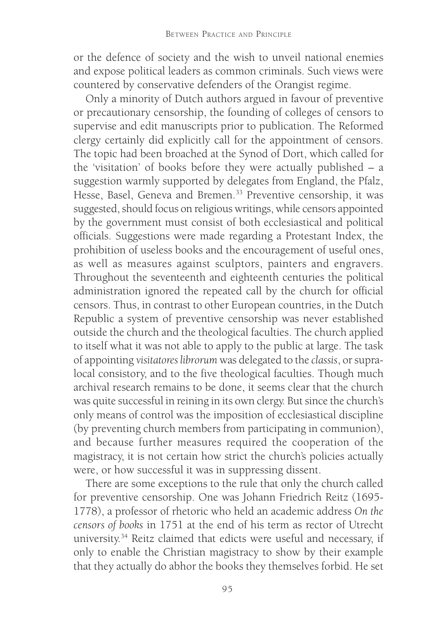or the defence of society and the wish to unveil national enemies and expose political leaders as common criminals. Such views were countered by conservative defenders of the Orangist regime.

Only a minority of Dutch authors argued in favour of preventive or precautionary censorship, the founding of colleges of censors to supervise and edit manuscripts prior to publication. The Reformed clergy certainly did explicitly call for the appointment of censors. The topic had been broached at the Synod of Dort, which called for the 'visitation' of books before they were actually published – a suggestion warmly supported by delegates from England, the Pfalz, Hesse, Basel, Geneva and Bremen.<sup>33</sup> Preventive censorship, it was suggested, should focus on religious writings, while censors appointed by the government must consist of both ecclesiastical and political officials. Suggestions were made regarding a Protestant Index, the prohibition of useless books and the encouragement of useful ones, as well as measures against sculptors, painters and engravers. Throughout the seventeenth and eighteenth centuries the political administration ignored the repeated call by the church for official censors. Thus, in contrast to other European countries, in the Dutch Republic a system of preventive censorship was never established outside the church and the theological faculties. The church applied to itself what it was not able to apply to the public at large. The task of appointing *visitatores librorum* was delegated to the *classis*, or supralocal consistory, and to the five theological faculties. Though much archival research remains to be done, it seems clear that the church was quite successful in reining in its own clergy. But since the church's only means of control was the imposition of ecclesiastical discipline (by preventing church members from participating in communion), and because further measures required the cooperation of the magistracy, it is not certain how strict the church's policies actually were, or how successful it was in suppressing dissent.

There are some exceptions to the rule that only the church called for preventive censorship. One was Johann Friedrich Reitz (1695- 1778), a professor of rhetoric who held an academic address *On the censors of books* in 1751 at the end of his term as rector of Utrecht university.<sup>34</sup> Reitz claimed that edicts were useful and necessary, if only to enable the Christian magistracy to show by their example that they actually do abhor the books they themselves forbid. He set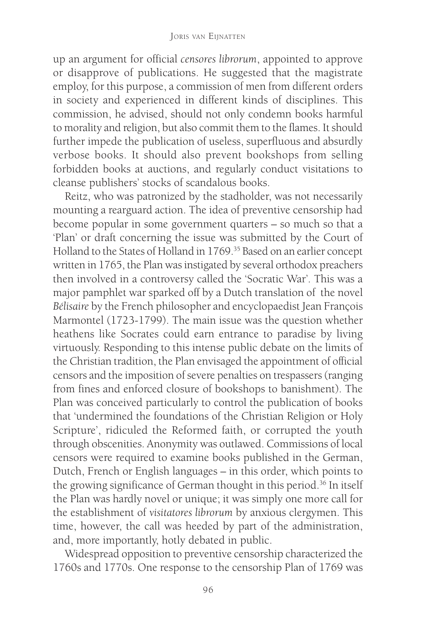up an argument for official *censores librorum*, appointed to approve or disapprove of publications. He suggested that the magistrate employ, for this purpose, a commission of men from different orders in society and experienced in different kinds of disciplines. This commission, he advised, should not only condemn books harmful to morality and religion, but also commit them to the flames. It should further impede the publication of useless, superfluous and absurdly verbose books. It should also prevent bookshops from selling forbidden books at auctions, and regularly conduct visitations to cleanse publishers' stocks of scandalous books.

Reitz, who was patronized by the stadholder, was not necessarily mounting a rearguard action. The idea of preventive censorship had become popular in some government quarters – so much so that a 'Plan' or draft concerning the issue was submitted by the Court of Holland to the States of Holland in 1769.<sup>35</sup> Based on an earlier concept written in 1765, the Plan was instigated by several orthodox preachers then involved in a controversy called the 'Socratic War'. This was a major pamphlet war sparked off by a Dutch translation of the novel *Bélisaire* by the French philosopher and encyclopaedist Jean François Marmontel (1723-1799). The main issue was the question whether heathens like Socrates could earn entrance to paradise by living virtuously. Responding to this intense public debate on the limits of the Christian tradition, the Plan envisaged the appointment of official censors and the imposition of severe penalties on trespassers (ranging from fines and enforced closure of bookshops to banishment). The Plan was conceived particularly to control the publication of books that 'undermined the foundations of the Christian Religion or Holy Scripture', ridiculed the Reformed faith, or corrupted the youth through obscenities. Anonymity was outlawed. Commissions of local censors were required to examine books published in the German, Dutch, French or English languages – in this order, which points to the growing significance of German thought in this period.<sup>36</sup> In itself the Plan was hardly novel or unique; it was simply one more call for the establishment of *visitatores librorum* by anxious clergymen. This time, however, the call was heeded by part of the administration, and, more importantly, hotly debated in public.

Widespread opposition to preventive censorship characterized the 1760s and 1770s. One response to the censorship Plan of 1769 was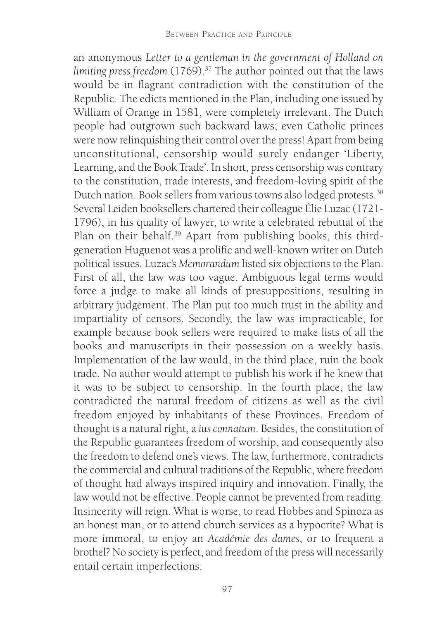an anonymous *Letter to a gentleman in the government of Holland on limiting press freedom* (1769).37 The author pointed out that the laws would be in flagrant contradiction with the constitution of the Republic. The edicts mentioned in the Plan, including one issued by William of Orange in 1581, were completely irrelevant. The Dutch people had outgrown such backward laws; even Catholic princes were now relinquishing their control over the press! Apart from being unconstitutional, censorship would surely endanger 'Liberty, Learning, and the Book Trade'. In short, press censorship was contrary to the constitution, trade interests, and freedom-loving spirit of the Dutch nation. Book sellers from various towns also lodged protests.<sup>38</sup> Several Leiden booksellers chartered their colleague Élie Luzac (1721- 1796), in his quality of lawyer, to write a celebrated rebuttal of the Plan on their behalf.<sup>39</sup> Apart from publishing books, this thirdgeneration Huguenot was a prolific and well-known writer on Dutch political issues. Luzac's *Memorandum* listed six objections to the Plan. First of all, the law was too vague. Ambiguous legal terms would force a judge to make all kinds of presuppositions, resulting in arbitrary judgement. The Plan put too much trust in the ability and impartiality of censors. Secondly, the law was impracticable, for example because book sellers were required to make lists of all the books and manuscripts in their possession on a weekly basis. Implementation of the law would, in the third place, ruin the book trade. No author would attempt to publish his work if he knew that it was to be subject to censorship. In the fourth place, the law contradicted the natural freedom of citizens as well as the civil freedom enjoyed by inhabitants of these Provinces. Freedom of thought is a natural right, a *ius connatum*. Besides, the constitution of the Republic guarantees freedom of worship, and consequently also the freedom to defend one's views. The law, furthermore, contradicts the commercial and cultural traditions of the Republic, where freedom of thought had always inspired inquiry and innovation. Finally, the law would not be effective. People cannot be prevented from reading. Insincerity will reign. What is worse, to read Hobbes and Spinoza as an honest man, or to attend church services as a hypocrite? What is more immoral, to enjoy an *Académie des dames*, or to frequent a brothel? No society is perfect, and freedom of the press will necessarily entail certain imperfections.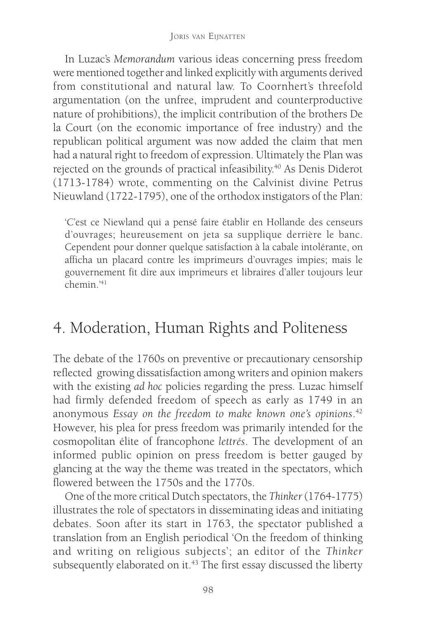In Luzac's *Memorandum* various ideas concerning press freedom were mentioned together and linked explicitly with arguments derived from constitutional and natural law. To Coornhert's threefold argumentation (on the unfree, imprudent and counterproductive nature of prohibitions), the implicit contribution of the brothers De la Court (on the economic importance of free industry) and the republican political argument was now added the claim that men had a natural right to freedom of expression. Ultimately the Plan was rejected on the grounds of practical infeasibility.40 As Denis Diderot (1713-1784) wrote, commenting on the Calvinist divine Petrus Nieuwland (1722-1795), one of the orthodox instigators of the Plan:

'C'est ce Niewland qui a pensé faire établir en Hollande des censeurs d'ouvrages; heureusement on jeta sa supplique derrière le banc. Cependent pour donner quelque satisfaction à la cabale intolérante, on afficha un placard contre les imprimeurs d'ouvrages impies; mais le gouvernement fit dire aux imprimeurs et libraires d'aller toujours leur chemin.'41

## 4. Moderation, Human Rights and Politeness

The debate of the 1760s on preventive or precautionary censorship reflected growing dissatisfaction among writers and opinion makers with the existing *ad hoc* policies regarding the press. Luzac himself had firmly defended freedom of speech as early as 1749 in an anonymous *Essay on the freedom to make known one's opinions*. 42 However, his plea for press freedom was primarily intended for the cosmopolitan élite of francophone *lettrés*. The development of an informed public opinion on press freedom is better gauged by glancing at the way the theme was treated in the spectators, which flowered between the 1750s and the 1770s.

One of the more critical Dutch spectators, the *Thinker* (1764-1775) illustrates the role of spectators in disseminating ideas and initiating debates. Soon after its start in 1763, the spectator published a translation from an English periodical 'On the freedom of thinking and writing on religious subjects'; an editor of the *Thinker* subsequently elaborated on it.<sup>43</sup> The first essay discussed the liberty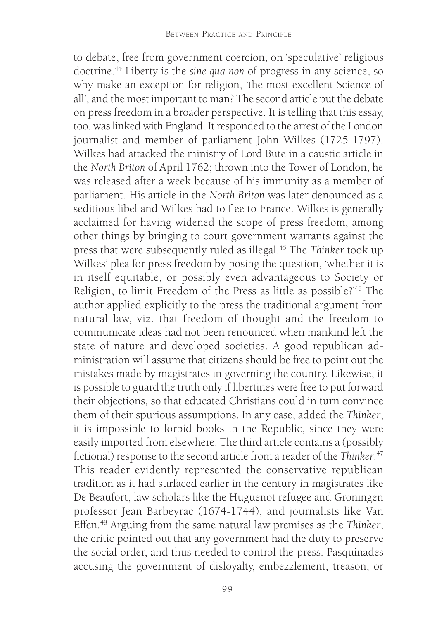to debate, free from government coercion, on 'speculative' religious doctrine.44 Liberty is the *sine qua non* of progress in any science, so why make an exception for religion, 'the most excellent Science of all', and the most important to man? The second article put the debate on press freedom in a broader perspective. It is telling that this essay, too, was linked with England. It responded to the arrest of the London journalist and member of parliament John Wilkes (1725-1797). Wilkes had attacked the ministry of Lord Bute in a caustic article in the *North Briton* of April 1762; thrown into the Tower of London, he was released after a week because of his immunity as a member of parliament. His article in the *North Briton* was later denounced as a seditious libel and Wilkes had to flee to France. Wilkes is generally acclaimed for having widened the scope of press freedom, among other things by bringing to court government warrants against the press that were subsequently ruled as illegal.45 The *Thinker* took up Wilkes' plea for press freedom by posing the question, 'whether it is in itself equitable, or possibly even advantageous to Society or Religion, to limit Freedom of the Press as little as possible?'46 The author applied explicitly to the press the traditional argument from natural law, viz. that freedom of thought and the freedom to communicate ideas had not been renounced when mankind left the state of nature and developed societies. A good republican administration will assume that citizens should be free to point out the mistakes made by magistrates in governing the country. Likewise, it is possible to guard the truth only if libertines were free to put forward their objections, so that educated Christians could in turn convince them of their spurious assumptions. In any case, added the *Thinker*, it is impossible to forbid books in the Republic, since they were easily imported from elsewhere. The third article contains a (possibly fictional) response to the second article from a reader of the *Thinker*. 47 This reader evidently represented the conservative republican tradition as it had surfaced earlier in the century in magistrates like De Beaufort, law scholars like the Huguenot refugee and Groningen professor Jean Barbeyrac (1674-1744), and journalists like Van Effen.48 Arguing from the same natural law premises as the *Thinker*, the critic pointed out that any government had the duty to preserve the social order, and thus needed to control the press. Pasquinades accusing the government of disloyalty, embezzlement, treason, or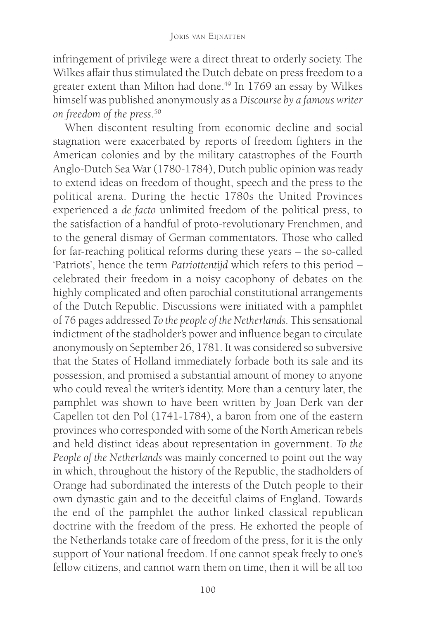infringement of privilege were a direct threat to orderly society. The Wilkes affair thus stimulated the Dutch debate on press freedom to a greater extent than Milton had done.<sup>49</sup> In 1769 an essay by Wilkes himself was published anonymously as a *Discourse by a famous writer on freedom of the press*. 50

When discontent resulting from economic decline and social stagnation were exacerbated by reports of freedom fighters in the American colonies and by the military catastrophes of the Fourth Anglo-Dutch Sea War (1780-1784), Dutch public opinion was ready to extend ideas on freedom of thought, speech and the press to the political arena. During the hectic 1780s the United Provinces experienced a *de facto* unlimited freedom of the political press, to the satisfaction of a handful of proto-revolutionary Frenchmen, and to the general dismay of German commentators. Those who called for far-reaching political reforms during these years – the so-called 'Patriots', hence the term *Patriottentijd* which refers to this period – celebrated their freedom in a noisy cacophony of debates on the highly complicated and often parochial constitutional arrangements of the Dutch Republic. Discussions were initiated with a pamphlet of 76 pages addressed *To the people of the Netherlands*. This sensational indictment of the stadholder's power and influence began to circulate anonymously on September 26, 1781. It was considered so subversive that the States of Holland immediately forbade both its sale and its possession, and promised a substantial amount of money to anyone who could reveal the writer's identity. More than a century later, the pamphlet was shown to have been written by Joan Derk van der Capellen tot den Pol (1741-1784), a baron from one of the eastern provinces who corresponded with some of the North American rebels and held distinct ideas about representation in government. *To the People of the Netherlands* was mainly concerned to point out the way in which, throughout the history of the Republic, the stadholders of Orange had subordinated the interests of the Dutch people to their own dynastic gain and to the deceitful claims of England. Towards the end of the pamphlet the author linked classical republican doctrine with the freedom of the press. He exhorted the people of the Netherlands totake care of freedom of the press, for it is the only support of Your national freedom. If one cannot speak freely to one's fellow citizens, and cannot warn them on time, then it will be all too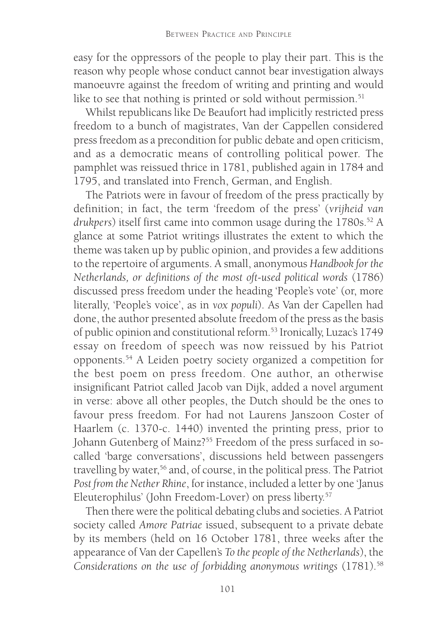easy for the oppressors of the people to play their part. This is the reason why people whose conduct cannot bear investigation always manoeuvre against the freedom of writing and printing and would like to see that nothing is printed or sold without permission.<sup>51</sup>

Whilst republicans like De Beaufort had implicitly restricted press freedom to a bunch of magistrates, Van der Cappellen considered press freedom as a precondition for public debate and open criticism, and as a democratic means of controlling political power. The pamphlet was reissued thrice in 1781, published again in 1784 and 1795, and translated into French, German, and English.

The Patriots were in favour of freedom of the press practically by definition; in fact, the term 'freedom of the press' (*vrijheid van drukpers*) itself first came into common usage during the 1780s.<sup>52</sup> A glance at some Patriot writings illustrates the extent to which the theme was taken up by public opinion, and provides a few additions to the repertoire of arguments. A small, anonymous *Handbook for the Netherlands, or definitions of the most oft-used political words* (1786) discussed press freedom under the heading 'People's vote' (or, more literally, 'People's voice', as in *vox populi*). As Van der Capellen had done, the author presented absolute freedom of the press as the basis of public opinion and constitutional reform.53 Ironically, Luzac's 1749 essay on freedom of speech was now reissued by his Patriot opponents.54 A Leiden poetry society organized a competition for the best poem on press freedom. One author, an otherwise insignificant Patriot called Jacob van Dijk, added a novel argument in verse: above all other peoples, the Dutch should be the ones to favour press freedom. For had not Laurens Janszoon Coster of Haarlem (c. 1370-c. 1440) invented the printing press, prior to Johann Gutenberg of Mainz?55 Freedom of the press surfaced in socalled 'barge conversations', discussions held between passengers travelling by water,<sup>56</sup> and, of course, in the political press. The Patriot *Post from the Nether Rhine*, for instance, included a letter by one 'Janus Eleuterophilus' (John Freedom-Lover) on press liberty.57

Then there were the political debating clubs and societies. A Patriot society called *Amore Patriae* issued, subsequent to a private debate by its members (held on 16 October 1781, three weeks after the appearance of Van der Capellen's *To the people of the Netherlands*), the *Considerations on the use of forbidding anonymous writings* (1781).58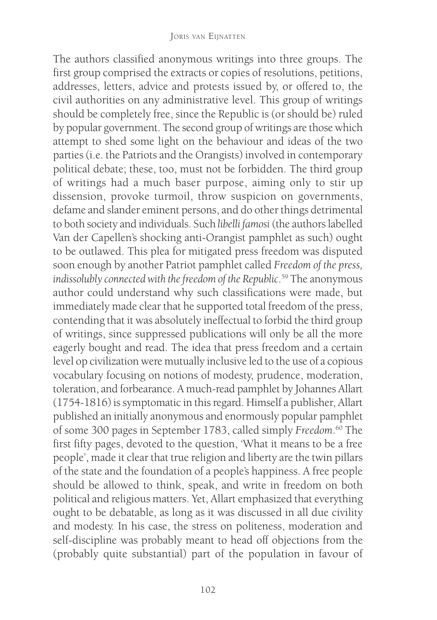The authors classified anonymous writings into three groups. The first group comprised the extracts or copies of resolutions, petitions, addresses, letters, advice and protests issued by, or offered to, the civil authorities on any administrative level. This group of writings should be completely free, since the Republic is (or should be) ruled by popular government. The second group of writings are those which attempt to shed some light on the behaviour and ideas of the two parties (i.e. the Patriots and the Orangists) involved in contemporary political debate; these, too, must not be forbidden. The third group of writings had a much baser purpose, aiming only to stir up dissension, provoke turmoil, throw suspicion on governments, defame and slander eminent persons, and do other things detrimental to both society and individuals. Such *libelli famosi* (the authors labelled Van der Capellen's shocking anti-Orangist pamphlet as such) ought to be outlawed. This plea for mitigated press freedom was disputed soon enough by another Patriot pamphlet called *Freedom of the press, indissolubly connected with the freedom of the Republic*. 59 The anonymous author could understand why such classifications were made, but immediately made clear that he supported total freedom of the press, contending that it was absolutely ineffectual to forbid the third group of writings, since suppressed publications will only be all the more eagerly bought and read. The idea that press freedom and a certain level op civilization were mutually inclusive led to the use of a copious vocabulary focusing on notions of modesty, prudence, moderation, toleration, and forbearance. A much-read pamphlet by Johannes Allart (1754-1816) is symptomatic in this regard. Himself a publisher, Allart published an initially anonymous and enormously popular pamphlet of some 300 pages in September 1783, called simply *Freedom*. 60 The first fifty pages, devoted to the question, 'What it means to be a free people', made it clear that true religion and liberty are the twin pillars of the state and the foundation of a people's happiness. A free people should be allowed to think, speak, and write in freedom on both political and religious matters. Yet, Allart emphasized that everything ought to be debatable, as long as it was discussed in all due civility and modesty. In his case, the stress on politeness, moderation and self-discipline was probably meant to head off objections from the (probably quite substantial) part of the population in favour of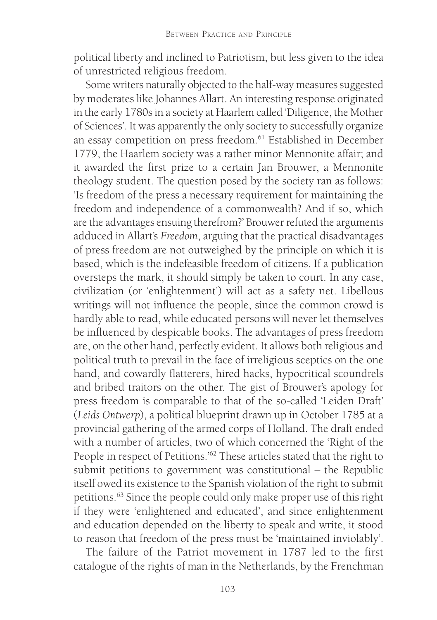political liberty and inclined to Patriotism, but less given to the idea of unrestricted religious freedom.

Some writers naturally objected to the half-way measures suggested by moderates like Johannes Allart. An interesting response originated in the early 1780s in a society at Haarlem called 'Diligence, the Mother of Sciences'. It was apparently the only society to successfully organize an essay competition on press freedom.61 Established in December 1779, the Haarlem society was a rather minor Mennonite affair; and it awarded the first prize to a certain Jan Brouwer, a Mennonite theology student. The question posed by the society ran as follows: 'Is freedom of the press a necessary requirement for maintaining the freedom and independence of a commonwealth? And if so, which are the advantages ensuing therefrom?' Brouwer refuted the arguments adduced in Allart's *Freedom*, arguing that the practical disadvantages of press freedom are not outweighed by the principle on which it is based, which is the indefeasible freedom of citizens. If a publication oversteps the mark, it should simply be taken to court. In any case, civilization (or 'enlightenment') will act as a safety net. Libellous writings will not influence the people, since the common crowd is hardly able to read, while educated persons will never let themselves be influenced by despicable books. The advantages of press freedom are, on the other hand, perfectly evident. It allows both religious and political truth to prevail in the face of irreligious sceptics on the one hand, and cowardly flatterers, hired hacks, hypocritical scoundrels and bribed traitors on the other. The gist of Brouwer's apology for press freedom is comparable to that of the so-called 'Leiden Draft' (*Leids Ontwerp*), a political blueprint drawn up in October 1785 at a provincial gathering of the armed corps of Holland. The draft ended with a number of articles, two of which concerned the 'Right of the People in respect of Petitions.'<sup>62</sup> These articles stated that the right to submit petitions to government was constitutional – the Republic itself owed its existence to the Spanish violation of the right to submit petitions.63 Since the people could only make proper use of this right if they were 'enlightened and educated', and since enlightenment and education depended on the liberty to speak and write, it stood to reason that freedom of the press must be 'maintained inviolably'.

The failure of the Patriot movement in 1787 led to the first catalogue of the rights of man in the Netherlands, by the Frenchman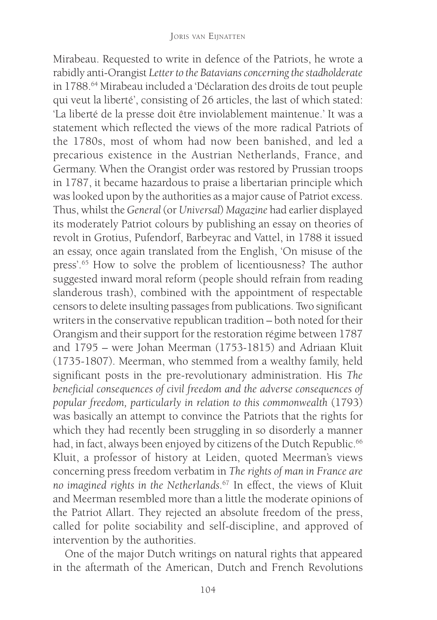Mirabeau. Requested to write in defence of the Patriots, he wrote a rabidly anti-Orangist *Letter to the Batavians concerning the stadholderate* in 1788.64 Mirabeau included a 'Déclaration des droits de tout peuple qui veut la liberté', consisting of 26 articles, the last of which stated: 'La liberté de la presse doit être inviolablement maintenue.' It was a statement which reflected the views of the more radical Patriots of the 1780s, most of whom had now been banished, and led a precarious existence in the Austrian Netherlands, France, and Germany. When the Orangist order was restored by Prussian troops in 1787, it became hazardous to praise a libertarian principle which was looked upon by the authorities as a major cause of Patriot excess. Thus, whilst the *General* (or *Universal*) *Magazine* had earlier displayed its moderately Patriot colours by publishing an essay on theories of revolt in Grotius, Pufendorf, Barbeyrac and Vattel, in 1788 it issued an essay, once again translated from the English, 'On misuse of the press'.65 How to solve the problem of licentiousness? The author suggested inward moral reform (people should refrain from reading slanderous trash), combined with the appointment of respectable censors to delete insulting passages from publications. Two significant writers in the conservative republican tradition – both noted for their Orangism and their support for the restoration régime between 1787 and 1795 – were Johan Meerman (1753-1815) and Adriaan Kluit (1735-1807). Meerman, who stemmed from a wealthy family, held significant posts in the pre-revolutionary administration. His *The beneficial consequences of civil freedom and the adverse consequences of popular freedom, particularly in relation to this commonwealth* (1793) was basically an attempt to convince the Patriots that the rights for which they had recently been struggling in so disorderly a manner had, in fact, always been enjoyed by citizens of the Dutch Republic.<sup>66</sup> Kluit, a professor of history at Leiden, quoted Meerman's views concerning press freedom verbatim in *The rights of man in France are no imagined rights in the Netherlands*. 67 In effect, the views of Kluit and Meerman resembled more than a little the moderate opinions of the Patriot Allart. They rejected an absolute freedom of the press, called for polite sociability and self-discipline, and approved of intervention by the authorities.

One of the major Dutch writings on natural rights that appeared in the aftermath of the American, Dutch and French Revolutions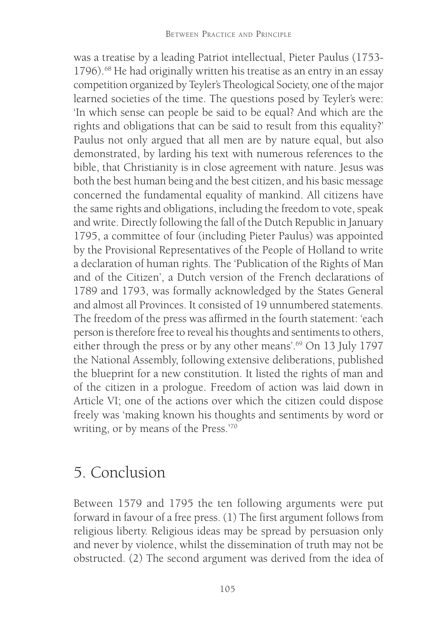was a treatise by a leading Patriot intellectual, Pieter Paulus (1753- 1796).<sup>68</sup> He had originally written his treatise as an entry in an essay competition organized by Teyler's Theological Society, one of the major learned societies of the time. The questions posed by Teyler's were: 'In which sense can people be said to be equal? And which are the rights and obligations that can be said to result from this equality?' Paulus not only argued that all men are by nature equal, but also demonstrated, by larding his text with numerous references to the bible, that Christianity is in close agreement with nature. Jesus was both the best human being and the best citizen, and his basic message concerned the fundamental equality of mankind. All citizens have the same rights and obligations, including the freedom to vote, speak and write. Directly following the fall of the Dutch Republic in January 1795, a committee of four (including Pieter Paulus) was appointed by the Provisional Representatives of the People of Holland to write a declaration of human rights. The 'Publication of the Rights of Man and of the Citizen', a Dutch version of the French declarations of 1789 and 1793, was formally acknowledged by the States General and almost all Provinces. It consisted of 19 unnumbered statements. The freedom of the press was affirmed in the fourth statement: 'each person is therefore free to reveal his thoughts and sentiments to others, either through the press or by any other means'.<sup>69</sup> On 13 July 1797 the National Assembly, following extensive deliberations, published the blueprint for a new constitution. It listed the rights of man and of the citizen in a prologue. Freedom of action was laid down in Article VI; one of the actions over which the citizen could dispose freely was 'making known his thoughts and sentiments by word or writing, or by means of the Press.'70

## 5. Conclusion

Between 1579 and 1795 the ten following arguments were put forward in favour of a free press. (1) The first argument follows from religious liberty. Religious ideas may be spread by persuasion only and never by violence, whilst the dissemination of truth may not be obstructed. (2) The second argument was derived from the idea of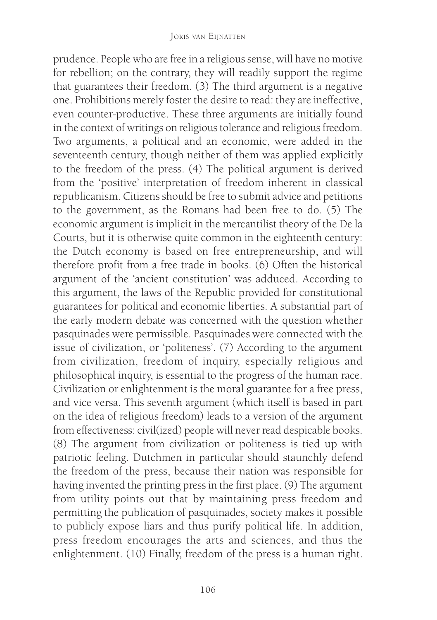prudence. People who are free in a religious sense, will have no motive for rebellion; on the contrary, they will readily support the regime that guarantees their freedom. (3) The third argument is a negative one. Prohibitions merely foster the desire to read: they are ineffective, even counter-productive. These three arguments are initially found in the context of writings on religious tolerance and religious freedom. Two arguments, a political and an economic, were added in the seventeenth century, though neither of them was applied explicitly to the freedom of the press. (4) The political argument is derived from the 'positive' interpretation of freedom inherent in classical republicanism. Citizens should be free to submit advice and petitions to the government, as the Romans had been free to do. (5) The economic argument is implicit in the mercantilist theory of the De la Courts, but it is otherwise quite common in the eighteenth century: the Dutch economy is based on free entrepreneurship, and will therefore profit from a free trade in books. (6) Often the historical argument of the 'ancient constitution' was adduced. According to this argument, the laws of the Republic provided for constitutional guarantees for political and economic liberties. A substantial part of the early modern debate was concerned with the question whether pasquinades were permissible. Pasquinades were connected with the issue of civilization, or 'politeness'. (7) According to the argument from civilization, freedom of inquiry, especially religious and philosophical inquiry, is essential to the progress of the human race. Civilization or enlightenment is the moral guarantee for a free press, and vice versa. This seventh argument (which itself is based in part on the idea of religious freedom) leads to a version of the argument from effectiveness: civil(ized) people will never read despicable books. (8) The argument from civilization or politeness is tied up with patriotic feeling. Dutchmen in particular should staunchly defend the freedom of the press, because their nation was responsible for having invented the printing press in the first place. (9) The argument from utility points out that by maintaining press freedom and permitting the publication of pasquinades, society makes it possible to publicly expose liars and thus purify political life. In addition, press freedom encourages the arts and sciences, and thus the enlightenment. (10) Finally, freedom of the press is a human right.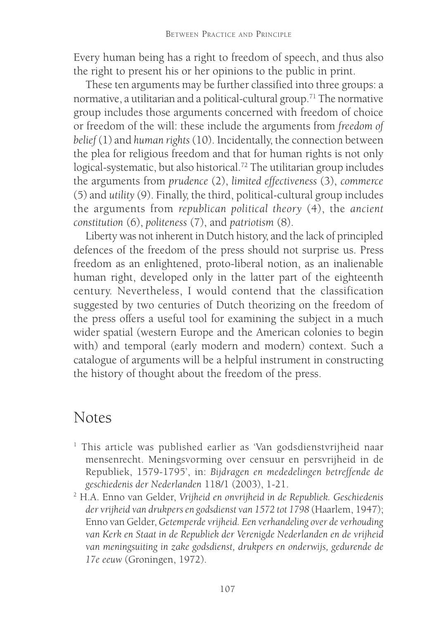Every human being has a right to freedom of speech, and thus also the right to present his or her opinions to the public in print.

These ten arguments may be further classified into three groups: a normative, a utilitarian and a political-cultural group.<sup>71</sup> The normative group includes those arguments concerned with freedom of choice or freedom of the will: these include the arguments from *freedom of belief* (1) and *human rights* (10). Incidentally, the connection between the plea for religious freedom and that for human rights is not only logical-systematic, but also historical.<sup>72</sup> The utilitarian group includes the arguments from *prudence* (2), *limited effectiveness* (3), *commerce* (5) and *utility* (9). Finally, the third, political-cultural group includes the arguments from *republican political theory* (4), the *ancient constitution* (6), *politeness* (7), and *patriotism* (8).

Liberty was not inherent in Dutch history, and the lack of principled defences of the freedom of the press should not surprise us. Press freedom as an enlightened, proto-liberal notion, as an inalienable human right, developed only in the latter part of the eighteenth century. Nevertheless, I would contend that the classification suggested by two centuries of Dutch theorizing on the freedom of the press offers a useful tool for examining the subject in a much wider spatial (western Europe and the American colonies to begin with) and temporal (early modern and modern) context. Such a catalogue of arguments will be a helpful instrument in constructing the history of thought about the freedom of the press.

#### Notes

- <sup>1</sup> This article was published earlier as 'Van godsdienstvrijheid naar mensenrecht. Meningsvorming over censuur en persvrijheid in de Republiek, 1579-1795', in: *Bijdragen en mededelingen betreffende de geschiedenis der Nederlanden* 118/1 (2003), 1-21.
- 2 H.A. Enno van Gelder, *Vrijheid en onvrijheid in de Republiek. Geschiedenis der vrijheid van drukpers en godsdienst van 1572 tot 1798* (Haarlem, 1947); Enno van Gelder, *Getemperde vrijheid. Een verhandeling over de verhouding van Kerk en Staat in de Republiek der Verenigde Nederlanden en de vrijheid van meningsuiting in zake godsdienst, drukpers en onderwijs, gedurende de 17e eeuw* (Groningen, 1972).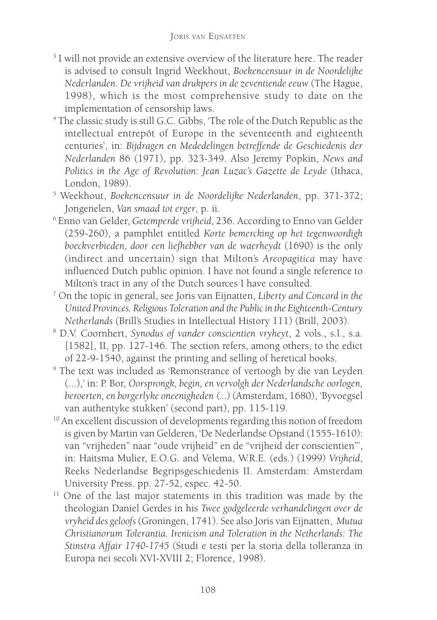- 3 I will not provide an extensive overview of the literature here. The reader is advised to consult Ingrid Weekhout, *Boekencensuur in de Noordelijke Nederlanden. De vrijheid van drukpers in de zeventiende eeuw* (The Hague, 1998), which is the most comprehensive study to date on the implementation of censorship laws.
- 4 The classic study is still G.C. Gibbs, 'The role of the Dutch Republic as the intellectual entrepôt of Europe in the seventeenth and eighteenth centuries', in: *Bijdragen en Mededelingen betreffende de Geschiedenis der Nederlanden* 86 (1971), pp. 323-349. Also Jeremy Popkin, *News and Politics in the Age of Revolution: Jean Luzac's Gazette de Leyde* (Ithaca, London, 1989).
- 5 Weekhout, *Boekencensuur in de Noordelijke Nederlanden*, pp. 371-372; Jongenelen, *Van smaad tot erger*, p. ii.
- 6 Enno van Gelder, *Getemperde vrijheid*, 236. According to Enno van Gelder (259-260), a pamphlet entitled *Korte bemercking op het tegenwoordigh boeckverbieden, door een liefhebber van de waerheydt* (1690) is the only (indirect and uncertain) sign that Milton's *Areopagitica* may have influenced Dutch public opinion. I have not found a single reference to Milton's tract in any of the Dutch sources I have consulted.
- 7 On the topic in general, see Joris van Eijnatten, *Liberty and Concord in the United Provinces. Religious Toleration and the Public in the Eighteenth-Century Netherlands* (Brill's Studies in Intellectual History 111) (Brill, 2003).
- 8 D.V. Coornhert, *Synodus of vander conscientien vryheyt*, 2 vols., s.l., s.a. [1582], II, pp. 127-146. The section refers, among others, to the edict of 22-9-1540, against the printing and selling of heretical books.
- 9 The text was included as 'Remonstrance of vertoogh by die van Leyden (...),' in: P. Bor, *Oorsprongk, begin, en vervolgh der Nederlandsche oorlogen, beroerten, en borgerlyke oneenigheden (...)* (Amsterdam, 1680), 'Byvoegsel van authentyke stukken' (second part), pp. 115-119.
- <sup>10</sup> An excellent discussion of developments regarding this notion of freedom is given by Martin van Gelderen, 'De Nederlandse Opstand (1555-1610): van "vrijheden" naar "oude vrijheid" en de "vrijheid der conscientien"', in: Haitsma Mulier, E.O.G. and Velema, W.R.E. (eds.) (1999) *Vrijheid*, Reeks Nederlandse Begripsgeschiedenis II. Amsterdam: Amsterdam University Press. pp. 27-52, espec. 42-50.
- <sup>11</sup> One of the last major statements in this tradition was made by the theologian Daniel Gerdes in his *Twee godgeleerde verhandelingen over de vryheid des geloofs* (Groningen, 1741). See also Joris van Eijnatten, *Mutua Christianorum Tolerantia. Irenicism and Toleration in the Netherlands: The Stinstra Affair 1740-1745* (Studi e testi per la storia della tolleranza in Europa nei secoli XVI-XVIII 2; Florence, 1998).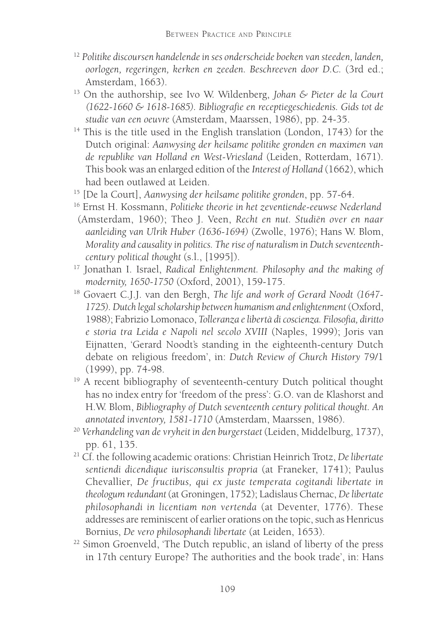- <sup>12</sup> *Politike discoursen handelende in ses onderscheide boeken van steeden, landen, oorlogen, regeringen, kerken en zeeden. Beschreeven door D.C.* (3rd ed.; Amsterdam, 1663).
- 13 On the authorship, see Ivo W. Wildenberg, *Johan & Pieter de la Court (1622-1660 & 1618-1685). Bibliografie en receptiegeschiedenis. Gids tot de studie van een oeuvre* (Amsterdam, Maarssen, 1986), pp. 24-35.
- <sup>14</sup> This is the title used in the English translation (London, 1743) for the Dutch original: *Aanwysing der heilsame politike gronden en maximen van de republike van Holland en West-Vriesland* (Leiden, Rotterdam, 1671). This book was an enlarged edition of the *Interest of Holland* (1662), which had been outlawed at Leiden.
- 15 [De la Court], *Aanwysing der heilsame politike gronden*, pp. 57-64.
- 16 Ernst H. Kossmann, *Politieke theorie in het zeventiende-eeuwse Nederland* (Amsterdam, 1960); Theo J. Veen, *Recht en nut. Studiën over en naar aanleiding van Ulrik Huber (1636-1694)* (Zwolle, 1976); Hans W. Blom, *Morality and causality in politics. The rise of naturalism in Dutch seventeenthcentury political thought* (s.l., [1995]).
- 17 Jonathan I. Israel, *Radical Enlightenment. Philosophy and the making of modernity, 1650-1750* (Oxford, 2001), 159-175.
- 18 Govaert C.J.J. van den Bergh, *The life and work of Gerard Noodt (1647- 1725). Dutch legal scholarship between humanism and enlightenment* (Oxford, 1988); Fabrizio Lomonaco, *Tolleranza e libertà di coscienza. Filosofia, diritto e storia tra Leida e Napoli nel secolo XVIII* (Naples, 1999); Joris van Eijnatten, 'Gerard Noodt's standing in the eighteenth-century Dutch debate on religious freedom', in: *Dutch Review of Church History* 79/1 (1999), pp. 74-98.
- <sup>19</sup> A recent bibliography of seventeenth-century Dutch political thought has no index entry for 'freedom of the press': G.O. van de Klashorst and H.W. Blom, *Bibliography of Dutch seventeenth century political thought. An annotated inventory, 1581-1710* (Amsterdam, Maarssen, 1986).
- <sup>20</sup> *Verhandeling van de vryheit in den burgerstaet* (Leiden, Middelburg, 1737), pp. 61, 135.
- 21 Cf. the following academic orations: Christian Heinrich Trotz, *De libertate sentiendi dicendique iurisconsultis propria* (at Franeker, 1741); Paulus Chevallier, *De fructibus, qui ex juste temperata cogitandi libertate in theologum redundant* (at Groningen, 1752); Ladislaus Chernac, *De libertate philosophandi in licentiam non vertenda* (at Deventer, 1776). These addresses are reminiscent of earlier orations on the topic, such as Henricus Bornius, *De vero philosophandi libertate* (at Leiden, 1653).
- <sup>22</sup> Simon Groenveld, 'The Dutch republic, an island of liberty of the press in 17th century Europe? The authorities and the book trade', in: Hans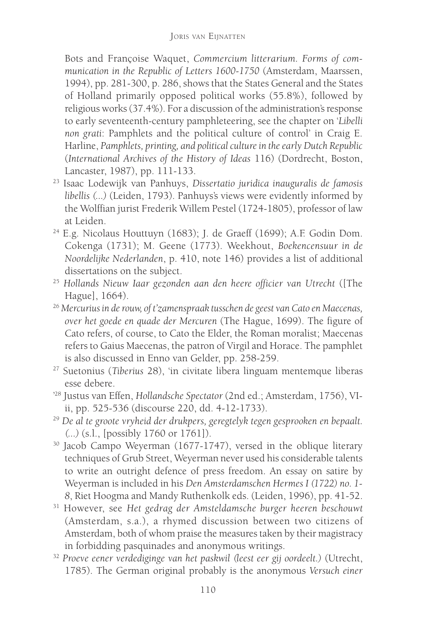Bots and Françoise Waquet, *Commercium litterarium. Forms of communication in the Republic of Letters 1600-1750* (Amsterdam, Maarssen, 1994), pp. 281-300, p. 286, shows that the States General and the States of Holland primarily opposed political works (55.8%), followed by religious works (37.4%). For a discussion of the administration's response to early seventeenth-century pamphleteering, see the chapter on '*Libelli non grati*: Pamphlets and the political culture of control' in Craig E. Harline, *Pamphlets, printing, and political culture in the early Dutch Republic* (*International Archives of the History of Ideas* 116) (Dordrecht, Boston, Lancaster, 1987), pp. 111-133.

- 23 Isaac Lodewijk van Panhuys, *Dissertatio juridica inauguralis de famosis libellis (...)* (Leiden, 1793). Panhuys's views were evidently informed by the Wolffian jurist Frederik Willem Pestel (1724-1805), professor of law at Leiden.
- 24 E.g. Nicolaus Houttuyn (1683); J. de Graeff (1699); A.F. Godin Dom. Cokenga (1731); M. Geene (1773). Weekhout, *Boekencensuur in de Noordelijke Nederlanden*, p. 410, note 146) provides a list of additional dissertations on the subject.
- <sup>25</sup> *Hollands Nieuw Iaar gezonden aan den heere officier van Utrecht* ([The Hague], 1664).
- <sup>26</sup> *Mercurius in de rouw, of t'zamenspraak tusschen de geest van Cato en Maecenas, over het goede en quade der Mercuren* (The Hague, 1699). The figure of Cato refers, of course, to Cato the Elder, the Roman moralist; Maecenas refers to Gaius Maecenas, the patron of Virgil and Horace. The pamphlet is also discussed in Enno van Gelder, pp. 258-259.
- 27 Suetonius (*Tiberius* 28), 'in civitate libera linguam mentemque liberas esse debere.
- ' 28 Justus van Effen, *Hollandsche Spectator* (2nd ed.; Amsterdam, 1756), VIii, pp. 525-536 (discourse 220, dd. 4-12-1733).
- <sup>29</sup> *De al te groote vryheid der drukpers, geregtelyk tegen gesprooken en bepaalt. (...)* (s.l., [possibly 1760 or 1761]).
- 30 Jacob Campo Weyerman (1677-1747), versed in the oblique literary techniques of Grub Street, Weyerman never used his considerable talents to write an outright defence of press freedom. An essay on satire by Weyerman is included in his *Den Amsterdamschen Hermes I (1722) no. 1- 8*, Riet Hoogma and Mandy Ruthenkolk eds. (Leiden, 1996), pp. 41-52.
- 31 However, see *Het gedrag der Amsteldamsche burger heeren beschouwt* (Amsterdam, s.a.), a rhymed discussion between two citizens of Amsterdam, both of whom praise the measures taken by their magistracy in forbidding pasquinades and anonymous writings.
- <sup>32</sup> *Proeve eener verdediginge van het paskwil (leest eer gij oordeelt.)* (Utrecht, 1785). The German original probably is the anonymous *Versuch einer*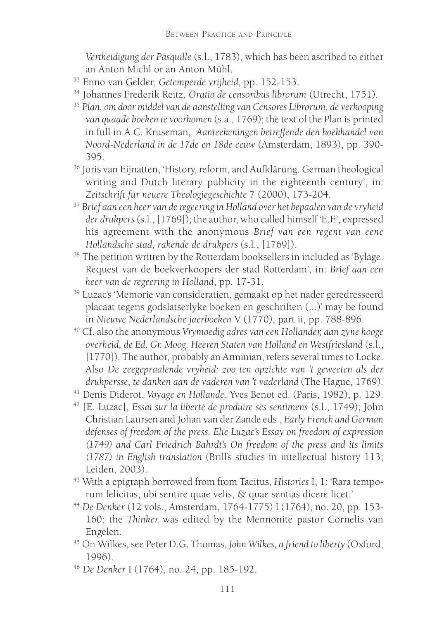*Vertheidigung der Pasquille* (s.l., 1783), which has been ascribed to either an Anton Michl or an Anton Mühl.

- 33 Enno van Gelder, *Getemperde vrijheid*, pp. 152-153.
- 34 Johannes Frederik Reitz, *Oratio de censoribus librorum* (Utrecht, 1751).
- <sup>35</sup> *Plan, om door middel van de aanstelling van Censores Librorum, de verkooping van quaade boeken te voorkomen* (s.a., 1769); the text of the Plan is printed in full in A.C. Kruseman, *Aanteekeningen betreffende den boekhandel van Noord-Nederland in de 17de en 18de eeuw* (Amsterdam, 1893), pp. 390- 395.
- 36 Joris van Eijnatten, 'History, reform, and Aufklärung. German theological writing and Dutch literary publicity in the eighteenth century', in: *Zeitschrift für neuere Theologiegeschichte* 7 (2000), 173-204.
- <sup>37</sup> *Brief aan een heer van de regeering in Holland over het bepaalen van de vryheid der drukpers* (s.l., [1769]); the author, who called himself 'E.F.', expressed his agreement with the anonymous *Brief van een regent van eene Hollandsche stad, rakende de drukpers* (s.l., [1769]).
- <sup>38</sup> The petition written by the Rotterdam booksellers in included as 'Bylage. Request van de boekverkoopers der stad Rotterdam', in: *Brief aan een heer van de regeering in Holland*, pp. 17-31.
- 39 Luzac's 'Memorie van consideratien, gemaakt op het nader geredresseerd placaat tegens godslatserlyke boeken en geschriften (...)' may be found in *Nieuwe Nederlandsche jaerboeken* V (1770), part ii, pp. 788-896.
- 40 Cf. also the anonymous *Vrymoedig adres van een Hollander, aan zyne hooge overheid, de Ed. Gr. Moog. Heeren Staten van Holland en Westfriesland* (s.l., [1770]). The author, probably an Arminian, refers several times to Locke. Also *De zeegepraalende vryheid: zoo ten opzichte van 't geweeten als der drukpersse, te danken aan de vaderen van 't vaderland* (The Hague, 1769).
- 41 Denis Diderot, *Voyage en Hollande*, Yves Benot ed. (Paris, 1982), p. 129.
- 42 [E. Luzac], *Essai sur la liberté de produire ses sentimens* (s.l., 1749); John Christian Laursen and Johan van der Zande eds., *Early French and German defenses of freedom of the press. Elie Luzac's Essay on freedom of expression (1749) and Carl Friedrich Bahrdt's On freedom of the press and its limits (1787) in English translation* (Brill's studies in intellectual history 113; Leiden, 2003).
- 43 With a epigraph borrowed from from Tacitus, *Histories* I, 1: 'Rara temporum felicitas, ubi sentire quae velis, & quae sentias dicere licet.'
- <sup>44</sup> *De Denker* (12 vols., Amsterdam, 1764-1775) I (1764), no. 20, pp. 153- 160; the *Thinker* was edited by the Mennonite pastor Cornelis van Engelen.
- 45 On Wilkes, see Peter D.G. Thomas, *John Wilkes, a friend to liberty* (Oxford, 1996).
- <sup>46</sup> *De Denker* I (1764), no. 24, pp. 185-192.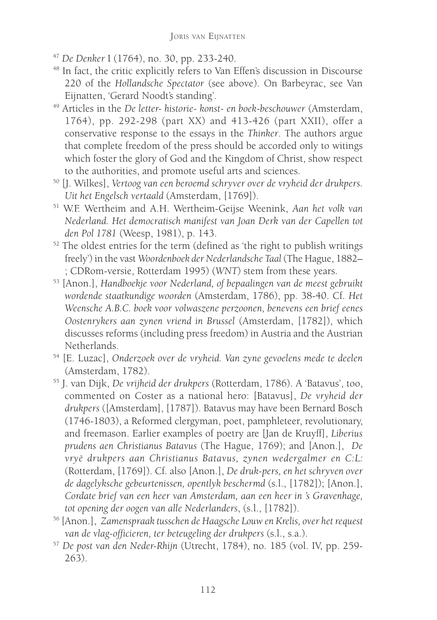- <sup>47</sup> *De Denker* I (1764), no. 30, pp. 233-240.
- 48 In fact, the critic explicitly refers to Van Effen's discussion in Discourse 220 of the *Hollandsche Spectator* (see above). On Barbeyrac, see Van Eijnatten, 'Gerard Noodt's standing'.
- 49 Articles in the *De letter- historie- konst- en boek-beschouwer* (Amsterdam, 1764), pp. 292-298 (part XX) and 413-426 (part XXII), offer a conservative response to the essays in the *Thinker*. The authors argue that complete freedom of the press should be accorded only to witings which foster the glory of God and the Kingdom of Christ, show respect to the authorities, and promote useful arts and sciences.
- 50 [J. Wilkes], *Vertoog van een beroemd schryver over de vryheid der drukpers. Uit het Engelsch vertaald* (Amsterdam, [1769]).
- 51 W.F. Wertheim and A.H. Wertheim-Geijse Weenink, *Aan het volk van Nederland. Het democratisch manifest van Joan Derk van der Capellen tot den Pol 1781* (Weesp, 1981), p. 143.
- $52$  The oldest entries for the term (defined as 'the right to publish writings freely') in the vast *Woordenboek der Nederlandsche Taal* (The Hague, 1882– ; CDRom-versie, Rotterdam 1995) (*WNT*) stem from these years.
- 53 [Anon.], *Handboekje voor Nederland, of bepaalingen van de meest gebruikt wordende staatkundige woorden* (Amsterdam, 1786), pp. 38-40. Cf. *Het Weensche A.B.C. boek voor volwaszene perzoonen, benevens een brief eenes Oostenrykers aan zynen vriend in Brussel* (Amsterdam, [1782]), which discusses reforms (including press freedom) in Austria and the Austrian Netherlands.
- 54 [E. Luzac], *Onderzoek over de vryheid. Van zyne gevoelens mede te deelen* (Amsterdam, 1782).
- 55 J. van Dijk, *De vrijheid der drukpers* (Rotterdam, 1786). A 'Batavus', too, commented on Coster as a national hero: [Batavus], *De vryheid der drukpers* ([Amsterdam], [1787]). Batavus may have been Bernard Bosch (1746-1803), a Reformed clergyman, poet, pamphleteer, revolutionary, and freemason. Earlier examples of poetry are [Jan de Kruyff], *Liberius prudens aen Christianus Batavus* (The Hague, 1769); and [Anon.], *De vryë drukpers aan Christianus Batavus, zynen wedergalmer en C:L:* (Rotterdam, [1769]). Cf. also [Anon.], *De druk-pers, en het schryven over de dagelyksche gebeurtenissen, opentlyk beschermd* (s.l., [1782]); [Anon.], *Cordate brief van een heer van Amsterdam, aan een heer in 's Gravenhage, tot opening der oogen van alle Nederlanders*, (s.l., [1782]).
- 56 [Anon.], *Zamenspraak tusschen de Haagsche Louw en Krelis, over het request van de vlag-officieren, ter beteugeling der drukpers* (s.l., s.a.).
- <sup>57</sup> *De post van den Neder-Rhijn* (Utrecht, 1784), no. 185 (vol. IV, pp. 259- 263).